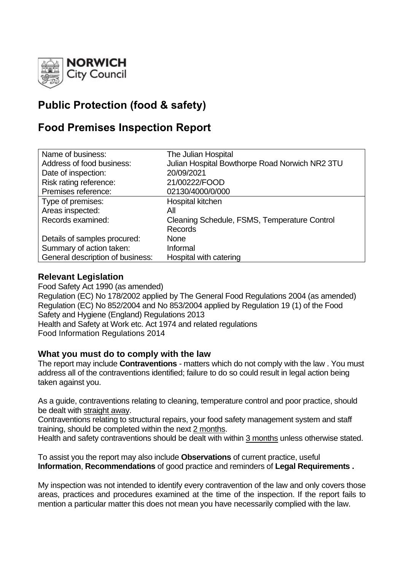

# **Public Protection (food & safety)**

## **Food Premises Inspection Report**

| Name of business:                | The Julian Hospital                            |
|----------------------------------|------------------------------------------------|
| Address of food business:        | Julian Hospital Bowthorpe Road Norwich NR2 3TU |
| Date of inspection:              | 20/09/2021                                     |
| Risk rating reference:           | 21/00222/FOOD                                  |
| Premises reference:              | 02130/4000/0/000                               |
| Type of premises:                | Hospital kitchen                               |
| Areas inspected:                 | All                                            |
| Records examined:                | Cleaning Schedule, FSMS, Temperature Control   |
|                                  | <b>Records</b>                                 |
| Details of samples procured:     | <b>None</b>                                    |
| Summary of action taken:         | Informal                                       |
| General description of business: | Hospital with catering                         |

#### **Relevant Legislation**

Food Safety Act 1990 (as amended) Regulation (EC) No 178/2002 applied by The General Food Regulations 2004 (as amended) Regulation (EC) No 852/2004 and No 853/2004 applied by Regulation 19 (1) of the Food Safety and Hygiene (England) Regulations 2013 Health and Safety at Work etc. Act 1974 and related regulations Food Information Regulations 2014

#### **What you must do to comply with the law**

The report may include **Contraventions** - matters which do not comply with the law . You must address all of the contraventions identified; failure to do so could result in legal action being taken against you.

As a guide, contraventions relating to cleaning, temperature control and poor practice, should be dealt with straight away.

Contraventions relating to structural repairs, your food safety management system and staff training, should be completed within the next 2 months.

Health and safety contraventions should be dealt with within 3 months unless otherwise stated.

To assist you the report may also include **Observations** of current practice, useful **Information**, **Recommendations** of good practice and reminders of **Legal Requirements .**

My inspection was not intended to identify every contravention of the law and only covers those areas, practices and procedures examined at the time of the inspection. If the report fails to mention a particular matter this does not mean you have necessarily complied with the law.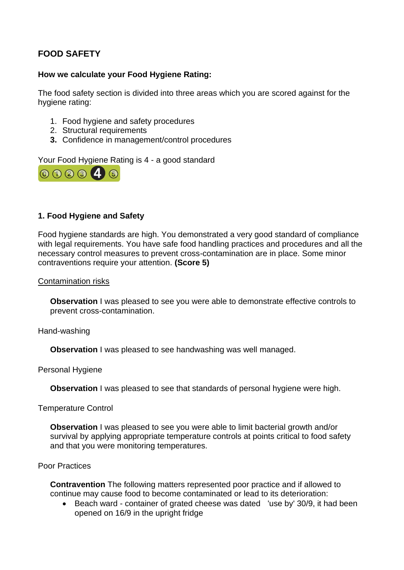### **FOOD SAFETY**

#### **How we calculate your Food Hygiene Rating:**

The food safety section is divided into three areas which you are scored against for the hygiene rating:

- 1. Food hygiene and safety procedures
- 2. Structural requirements
- **3.** Confidence in management/control procedures

Your Food Hygiene Rating is 4 - a good standard



#### **1. Food Hygiene and Safety**

Food hygiene standards are high. You demonstrated a very good standard of compliance with legal requirements. You have safe food handling practices and procedures and all the necessary control measures to prevent cross-contamination are in place. Some minor contraventions require your attention. **(Score 5)**

Contamination risks

**Observation** I was pleased to see you were able to demonstrate effective controls to prevent cross-contamination.

Hand-washing

**Observation I** was pleased to see handwashing was well managed.

Personal Hygiene

**Observation** I was pleased to see that standards of personal hygiene were high.

Temperature Control

**Observation** I was pleased to see you were able to limit bacterial growth and/or survival by applying appropriate temperature controls at points critical to food safety and that you were monitoring temperatures.

#### Poor Practices

**Contravention** The following matters represented poor practice and if allowed to continue may cause food to become contaminated or lead to its deterioration:

• Beach ward - container of grated cheese was dated 'use by' 30/9, it had been opened on 16/9 in the upright fridge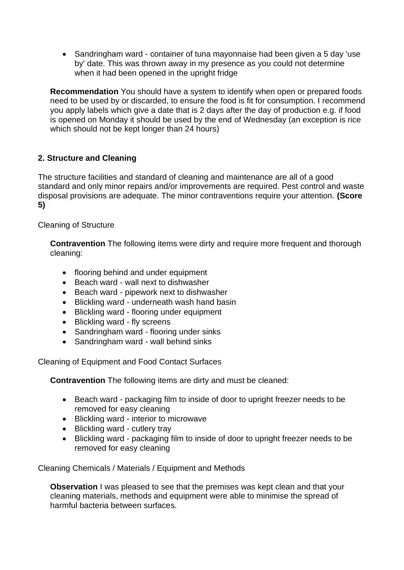• Sandringham ward - container of tuna mayonnaise had been given a 5 day 'use by' date. This was thrown away in my presence as you could not determine when it had been opened in the upright fridge

**Recommendation** You should have a system to identify when open or prepared foods need to be used by or discarded, to ensure the food is fit for consumption. I recommend you apply labels which give a date that is 2 days after the day of production e.g. if food is opened on Monday it should be used by the end of Wednesday (an exception is rice which should not be kept longer than 24 hours)

#### **2. Structure and Cleaning**

The structure facilities and standard of cleaning and maintenance are all of a good standard and only minor repairs and/or improvements are required. Pest control and waste disposal provisions are adequate. The minor contraventions require your attention. **(Score 5)**

Cleaning of Structure

**Contravention** The following items were dirty and require more frequent and thorough cleaning:

- flooring behind and under equipment
- Beach ward wall next to dishwasher
- Beach ward pipework next to dishwasher
- Blickling ward underneath wash hand basin
- Blickling ward flooring under equipment
- Blickling ward fly screens
- Sandringham ward flooring under sinks
- Sandringham ward wall behind sinks

Cleaning of Equipment and Food Contact Surfaces

**Contravention** The following items are dirty and must be cleaned:

- Beach ward packaging film to inside of door to upright freezer needs to be removed for easy cleaning
- Blickling ward interior to microwave
- Blickling ward cutlery tray
- Blickling ward packaging film to inside of door to upright freezer needs to be removed for easy cleaning

Cleaning Chemicals / Materials / Equipment and Methods

**Observation I** was pleased to see that the premises was kept clean and that your cleaning materials, methods and equipment were able to minimise the spread of harmful bacteria between surfaces.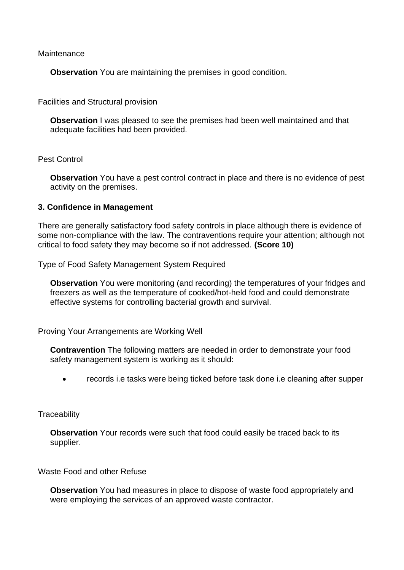**Maintenance** 

**Observation** You are maintaining the premises in good condition.

Facilities and Structural provision

**Observation** I was pleased to see the premises had been well maintained and that adequate facilities had been provided.

Pest Control

**Observation** You have a pest control contract in place and there is no evidence of pest activity on the premises.

#### **3. Confidence in Management**

There are generally satisfactory food safety controls in place although there is evidence of some non-compliance with the law. The contraventions require your attention; although not critical to food safety they may become so if not addressed. **(Score 10)**

Type of Food Safety Management System Required

**Observation** You were monitoring (and recording) the temperatures of your fridges and freezers as well as the temperature of cooked/hot-held food and could demonstrate effective systems for controlling bacterial growth and survival.

Proving Your Arrangements are Working Well

**Contravention** The following matters are needed in order to demonstrate your food safety management system is working as it should:

• records i.e tasks were being ticked before task done i.e cleaning after supper

**Traceability** 

**Observation** Your records were such that food could easily be traced back to its supplier.

Waste Food and other Refuse

**Observation** You had measures in place to dispose of waste food appropriately and were employing the services of an approved waste contractor.